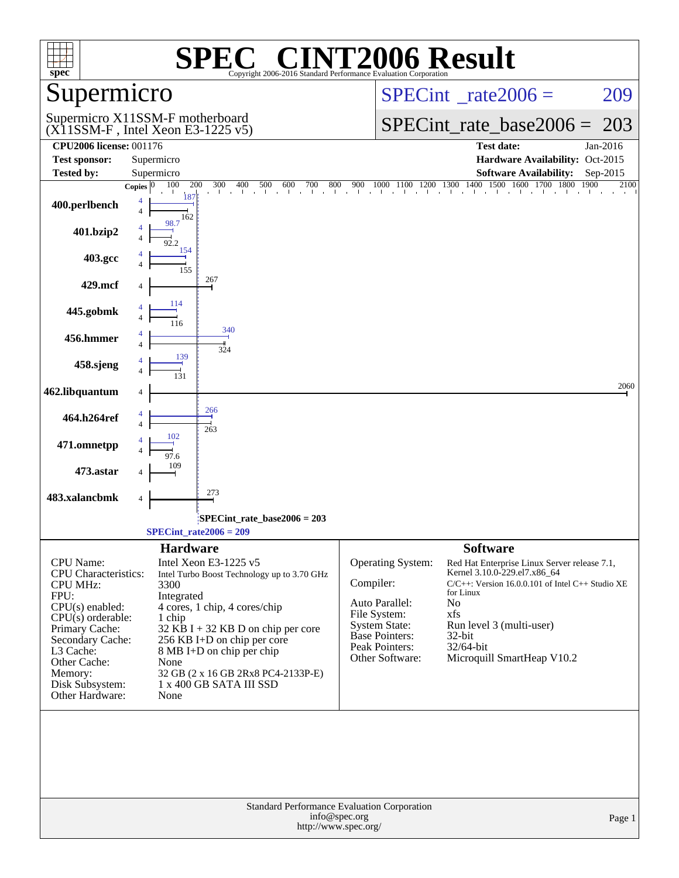| <b>NT2006 Result</b><br>$\bigcap$<br>spec <sup>®</sup><br>Copyright 2006-2016 Standard Performance Evaluation Corporation                                                                                                           |                                                                                                                                                                                                                                                                                                                            |                                                                                                                                                                                                                                                                                                                                                                                                            |  |  |  |  |  |
|-------------------------------------------------------------------------------------------------------------------------------------------------------------------------------------------------------------------------------------|----------------------------------------------------------------------------------------------------------------------------------------------------------------------------------------------------------------------------------------------------------------------------------------------------------------------------|------------------------------------------------------------------------------------------------------------------------------------------------------------------------------------------------------------------------------------------------------------------------------------------------------------------------------------------------------------------------------------------------------------|--|--|--|--|--|
| Supermicro                                                                                                                                                                                                                          |                                                                                                                                                                                                                                                                                                                            | $SPECint^{\circ}$ <sub>_rate2006</sub> =<br>209                                                                                                                                                                                                                                                                                                                                                            |  |  |  |  |  |
|                                                                                                                                                                                                                                     | Supermicro X11SSM-F motherboard<br>$(X11SSM-F$ , Intel Xeon E3-1225 v5)                                                                                                                                                                                                                                                    | $SPECint_rate\_base2006 =$<br>203                                                                                                                                                                                                                                                                                                                                                                          |  |  |  |  |  |
| <b>CPU2006 license: 001176</b><br><b>Test sponsor:</b>                                                                                                                                                                              | Supermicro                                                                                                                                                                                                                                                                                                                 | <b>Test date:</b><br>Jan-2016<br>Hardware Availability: Oct-2015                                                                                                                                                                                                                                                                                                                                           |  |  |  |  |  |
| <b>Tested by:</b>                                                                                                                                                                                                                   | Supermicro                                                                                                                                                                                                                                                                                                                 | <b>Software Availability:</b><br>Sep-2015                                                                                                                                                                                                                                                                                                                                                                  |  |  |  |  |  |
| 400.perlbench                                                                                                                                                                                                                       | 100<br>400<br>600<br>700<br>800<br>200<br>300<br>500<br>Copies $ 0 $<br>187<br>$\overline{4}$<br>162                                                                                                                                                                                                                       | 1100 1200 1300 1400<br>1500 1600 1700 1800<br>1000<br>1900<br>900<br>2100<br>the transformation that the transformation                                                                                                                                                                                                                                                                                    |  |  |  |  |  |
| 401.bzip2                                                                                                                                                                                                                           | 98.7<br>92.2                                                                                                                                                                                                                                                                                                               |                                                                                                                                                                                                                                                                                                                                                                                                            |  |  |  |  |  |
| 403.gcc                                                                                                                                                                                                                             | 154<br>155                                                                                                                                                                                                                                                                                                                 |                                                                                                                                                                                                                                                                                                                                                                                                            |  |  |  |  |  |
| 429.mcf                                                                                                                                                                                                                             | 267<br>114                                                                                                                                                                                                                                                                                                                 |                                                                                                                                                                                                                                                                                                                                                                                                            |  |  |  |  |  |
| 445.gobmk                                                                                                                                                                                                                           | 340                                                                                                                                                                                                                                                                                                                        |                                                                                                                                                                                                                                                                                                                                                                                                            |  |  |  |  |  |
| 456.hmmer                                                                                                                                                                                                                           | 324<br>139                                                                                                                                                                                                                                                                                                                 |                                                                                                                                                                                                                                                                                                                                                                                                            |  |  |  |  |  |
| 458.sjeng                                                                                                                                                                                                                           |                                                                                                                                                                                                                                                                                                                            | 2060                                                                                                                                                                                                                                                                                                                                                                                                       |  |  |  |  |  |
| 462.libquantum<br>464.h264ref                                                                                                                                                                                                       | 266                                                                                                                                                                                                                                                                                                                        |                                                                                                                                                                                                                                                                                                                                                                                                            |  |  |  |  |  |
| 471.omnetpp                                                                                                                                                                                                                         | 263<br>102                                                                                                                                                                                                                                                                                                                 |                                                                                                                                                                                                                                                                                                                                                                                                            |  |  |  |  |  |
| 473.astar                                                                                                                                                                                                                           | 97.6<br>109                                                                                                                                                                                                                                                                                                                |                                                                                                                                                                                                                                                                                                                                                                                                            |  |  |  |  |  |
| 483.xalancbmk                                                                                                                                                                                                                       | 273<br>4                                                                                                                                                                                                                                                                                                                   |                                                                                                                                                                                                                                                                                                                                                                                                            |  |  |  |  |  |
|                                                                                                                                                                                                                                     | SPECint_rate_base2006 = 203<br>$SPECint_rate2006 = 209$                                                                                                                                                                                                                                                                    |                                                                                                                                                                                                                                                                                                                                                                                                            |  |  |  |  |  |
|                                                                                                                                                                                                                                     | <b>Hardware</b>                                                                                                                                                                                                                                                                                                            | <b>Software</b>                                                                                                                                                                                                                                                                                                                                                                                            |  |  |  |  |  |
| CPU Name:<br><b>CPU</b> Characteristics:<br><b>CPU MHz:</b><br>FPU:<br>$CPU(s)$ enabled:<br>$CPU(s)$ orderable:<br>Primary Cache:<br>Secondary Cache:<br>L3 Cache:<br>Other Cache:<br>Memory:<br>Disk Subsystem:<br>Other Hardware: | Intel Xeon E3-1225 v5<br>Intel Turbo Boost Technology up to 3.70 GHz<br>3300<br>Integrated<br>4 cores, 1 chip, 4 cores/chip<br>1 chip<br>$32$ KB I + 32 KB D on chip per core<br>256 KB I+D on chip per core<br>8 MB I+D on chip per chip<br>None<br>32 GB (2 x 16 GB 2Rx8 PC4-2133P-E)<br>1 x 400 GB SATA III SSD<br>None | Operating System:<br>Red Hat Enterprise Linux Server release 7.1,<br>Kernel 3.10.0-229.el7.x86_64<br>Compiler:<br>$C/C++$ : Version 16.0.0.101 of Intel $C++$ Studio XE<br>for Linux<br>Auto Parallel:<br>No<br>File System:<br>xfs<br><b>System State:</b><br>Run level 3 (multi-user)<br><b>Base Pointers:</b><br>32-bit<br>Peak Pointers:<br>32/64-bit<br>Other Software:<br>Microquill SmartHeap V10.2 |  |  |  |  |  |
|                                                                                                                                                                                                                                     | Standard Performance Evaluation Corporation<br>info@spec.org<br>http://www.spec.org/                                                                                                                                                                                                                                       | Page 1                                                                                                                                                                                                                                                                                                                                                                                                     |  |  |  |  |  |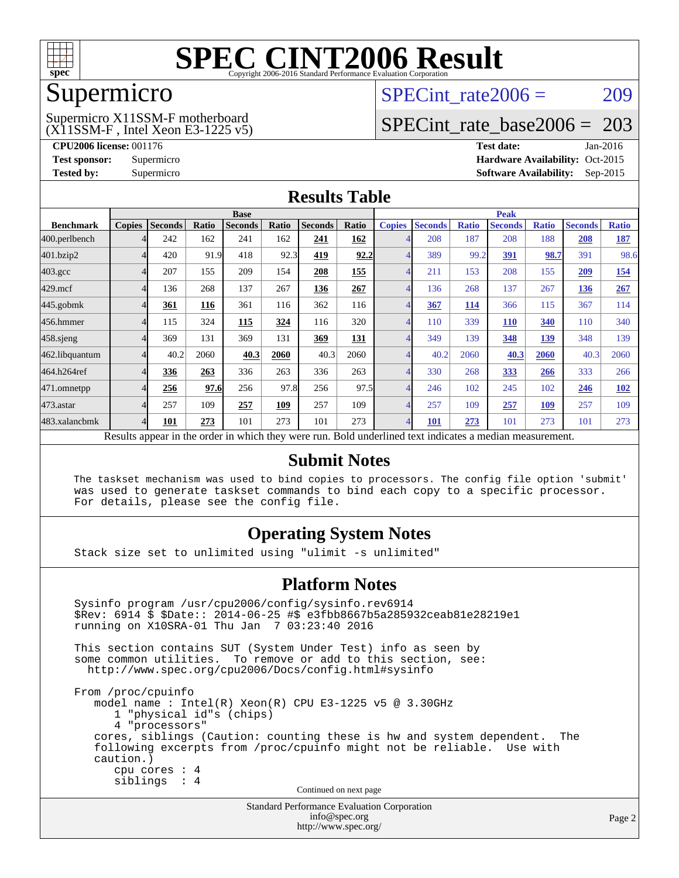

# Supermicro

#### (X11SSM-F , Intel Xeon E3-1225 v5) Supermicro X11SSM-F motherboard

SPECint rate $2006 = 209$ 

### [SPECint\\_rate\\_base2006 =](http://www.spec.org/auto/cpu2006/Docs/result-fields.html#SPECintratebase2006) 203

**[CPU2006 license:](http://www.spec.org/auto/cpu2006/Docs/result-fields.html#CPU2006license)** 001176 **[Test date:](http://www.spec.org/auto/cpu2006/Docs/result-fields.html#Testdate)** Jan-2016 **[Test sponsor:](http://www.spec.org/auto/cpu2006/Docs/result-fields.html#Testsponsor)** Supermicro Supermicro **[Hardware Availability:](http://www.spec.org/auto/cpu2006/Docs/result-fields.html#HardwareAvailability)** Oct-2015 **[Tested by:](http://www.spec.org/auto/cpu2006/Docs/result-fields.html#Testedby)** Supermicro **Supermicro [Software Availability:](http://www.spec.org/auto/cpu2006/Docs/result-fields.html#SoftwareAvailability)** Sep-2015

#### **[Results Table](http://www.spec.org/auto/cpu2006/Docs/result-fields.html#ResultsTable)**

|                                                                                                          | <b>Base</b>   |                |              |                |       |                | <b>Peak</b> |               |                |              |                |              |                |              |
|----------------------------------------------------------------------------------------------------------|---------------|----------------|--------------|----------------|-------|----------------|-------------|---------------|----------------|--------------|----------------|--------------|----------------|--------------|
| <b>Benchmark</b>                                                                                         | <b>Copies</b> | <b>Seconds</b> | <b>Ratio</b> | <b>Seconds</b> | Ratio | <b>Seconds</b> | Ratio       | <b>Copies</b> | <b>Seconds</b> | <b>Ratio</b> | <b>Seconds</b> | <b>Ratio</b> | <b>Seconds</b> | <b>Ratio</b> |
| 400.perlbench                                                                                            |               | 242            | 162          | 241            | 162   | 241            | 162         |               | 208            | 187          | 208            | 188          | 208            | <b>187</b>   |
| 401.bzip2                                                                                                |               | 420            | 91.9         | 418            | 92.3  | 419            | 92.2        |               | 389            | 99.2         | 391            | 98.7         | 391            | 98.6         |
| $403.\mathrm{gcc}$                                                                                       | 4             | 207            | 155          | 209            | 154   | 208            | 155         |               | 211            | 153          | 208            | 155          | 209            | 154          |
| $429$ .mcf                                                                                               | 4             | 136            | 268          | 137            | 267   | 136            | 267         |               | 136            | 268          | 137            | 267          | 136            | 267          |
| $445$ .gobm $k$                                                                                          | 4             | 361            | 116          | 361            | 116   | 362            | 116         |               | 367            | <u>114</u>   | 366            | 115          | 367            | 114          |
| 456.hmmer                                                                                                |               | 115            | 324          | 115            | 324   | 116            | 320         |               | 110            | 339          | <b>110</b>     | 340          | 110            | 340          |
| $458$ .sjeng                                                                                             | 4             | 369            | 131          | 369            | 131   | 369            | <b>131</b>  |               | 349            | 139          | 348            | 139          | 348            | 139          |
| 462.libquantum                                                                                           |               | 40.2           | 2060         | 40.3           | 2060  | 40.3           | 2060        |               | 40.2           | 2060         | 40.3           | 2060         | 40.3           | 2060         |
| 464.h264ref                                                                                              |               | 336            | 263          | 336            | 263   | 336            | 263         |               | 330            | 268          | 333            | 266          | 333            | 266          |
| 471.omnetpp                                                                                              |               | 256            | 97.6         | 256            | 97.8  | 256            | 97.5        |               | 246            | 102          | 245            | 102          | 246            | <b>102</b>   |
| 473.astar                                                                                                | 4             | 257            | 109          | 257            | 109   | 257            | 109         |               | 257            | 109          | 257            | 109          | 257            | 109          |
| 483.xalancbmk                                                                                            | 4             | 101            | 273          | 101            | 273   | 101            | 273         | 4             | 101            | 273          | 101            | 273          | 101            | 273          |
| Results appear in the order in which they were run. Bold underlined text indicates a median measurement. |               |                |              |                |       |                |             |               |                |              |                |              |                |              |

#### **[Submit Notes](http://www.spec.org/auto/cpu2006/Docs/result-fields.html#SubmitNotes)**

 The taskset mechanism was used to bind copies to processors. The config file option 'submit' was used to generate taskset commands to bind each copy to a specific processor. For details, please see the config file.

#### **[Operating System Notes](http://www.spec.org/auto/cpu2006/Docs/result-fields.html#OperatingSystemNotes)**

Stack size set to unlimited using "ulimit -s unlimited"

#### **[Platform Notes](http://www.spec.org/auto/cpu2006/Docs/result-fields.html#PlatformNotes)**

Standard Performance Evaluation Corporation Sysinfo program /usr/cpu2006/config/sysinfo.rev6914 \$Rev: 6914 \$ \$Date:: 2014-06-25 #\$ e3fbb8667b5a285932ceab81e28219e1 running on X10SRA-01 Thu Jan 7 03:23:40 2016 This section contains SUT (System Under Test) info as seen by some common utilities. To remove or add to this section, see: <http://www.spec.org/cpu2006/Docs/config.html#sysinfo> From /proc/cpuinfo model name : Intel(R) Xeon(R) CPU E3-1225 v5 @ 3.30GHz 1 "physical id"s (chips) 4 "processors" cores, siblings (Caution: counting these is hw and system dependent. The following excerpts from /proc/cpuinfo might not be reliable. Use with caution.) cpu cores : 4 siblings : 4 Continued on next page

[info@spec.org](mailto:info@spec.org) <http://www.spec.org/>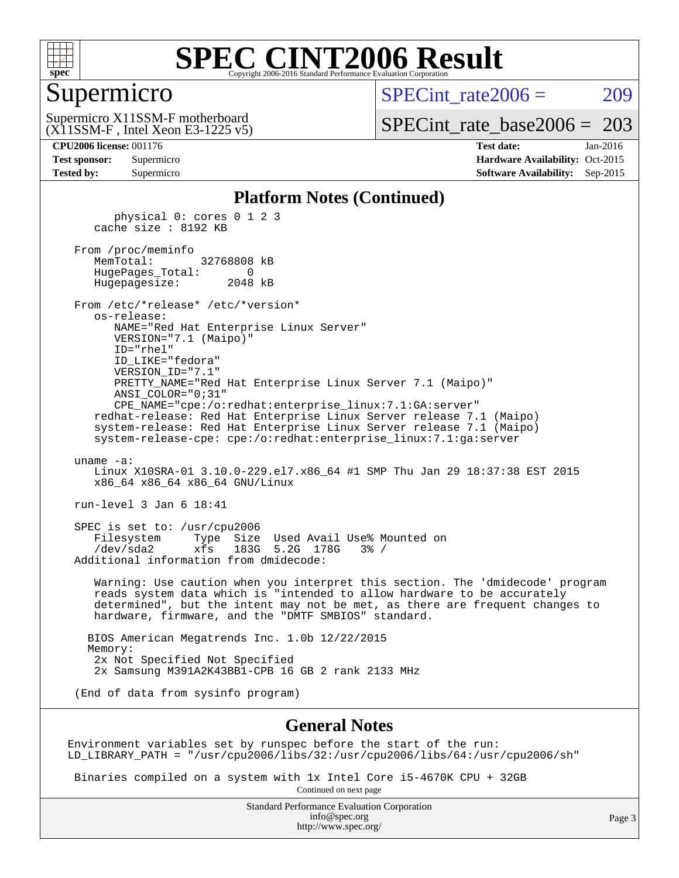

#### Supermicro

SPECint rate $2006 = 209$ 

(X11SSM-F , Intel Xeon E3-1225 v5) Supermicro X11SSM-F motherboard

[SPECint\\_rate\\_base2006 =](http://www.spec.org/auto/cpu2006/Docs/result-fields.html#SPECintratebase2006) 203

**[CPU2006 license:](http://www.spec.org/auto/cpu2006/Docs/result-fields.html#CPU2006license)** 001176 **[Test date:](http://www.spec.org/auto/cpu2006/Docs/result-fields.html#Testdate)** Jan-2016 **[Test sponsor:](http://www.spec.org/auto/cpu2006/Docs/result-fields.html#Testsponsor)** Supermicro Supermicro **[Hardware Availability:](http://www.spec.org/auto/cpu2006/Docs/result-fields.html#HardwareAvailability)** Oct-2015 **[Tested by:](http://www.spec.org/auto/cpu2006/Docs/result-fields.html#Testedby)** Supermicro **Supermicro [Software Availability:](http://www.spec.org/auto/cpu2006/Docs/result-fields.html#SoftwareAvailability)** Sep-2015

#### **[Platform Notes \(Continued\)](http://www.spec.org/auto/cpu2006/Docs/result-fields.html#PlatformNotes)**

 physical 0: cores 0 1 2 3 cache size : 8192 KB From /proc/meminfo<br>MemTotal: 32768808 kB HugePages\_Total: 0 Hugepagesize: 2048 kB From /etc/\*release\* /etc/\*version\* os-release: NAME="Red Hat Enterprise Linux Server" VERSION="7.1 (Maipo)" ID="rhel" ID\_LIKE="fedora" VERSION\_ID="7.1" PRETTY\_NAME="Red Hat Enterprise Linux Server 7.1 (Maipo)" ANSI\_COLOR="0;31" CPE\_NAME="cpe:/o:redhat:enterprise\_linux:7.1:GA:server" redhat-release: Red Hat Enterprise Linux Server release 7.1 (Maipo) system-release: Red Hat Enterprise Linux Server release 7.1 (Maipo) system-release-cpe: cpe:/o:redhat:enterprise\_linux:7.1:ga:server uname -a: Linux X10SRA-01 3.10.0-229.el7.x86\_64 #1 SMP Thu Jan 29 18:37:38 EST 2015 x86\_64 x86\_64 x86\_64 GNU/Linux run-level 3 Jan 6 18:41 SPEC is set to: /usr/cpu2006 Filesystem Type Size Used Avail Use% Mounted on /dev/sda2 xfs 183G 5.2G 178G 3% / Additional information from dmidecode: Warning: Use caution when you interpret this section. The 'dmidecode' program reads system data which is "intended to allow hardware to be accurately determined", but the intent may not be met, as there are frequent changes to hardware, firmware, and the "DMTF SMBIOS" standard. BIOS American Megatrends Inc. 1.0b 12/22/2015 Memory: 2x Not Specified Not Specified 2x Samsung M391A2K43BB1-CPB 16 GB 2 rank 2133 MHz (End of data from sysinfo program)

#### **[General Notes](http://www.spec.org/auto/cpu2006/Docs/result-fields.html#GeneralNotes)**

Environment variables set by runspec before the start of the run: LD\_LIBRARY\_PATH = "/usr/cpu2006/libs/32:/usr/cpu2006/libs/64:/usr/cpu2006/sh"

 Binaries compiled on a system with 1x Intel Core i5-4670K CPU + 32GB Continued on next page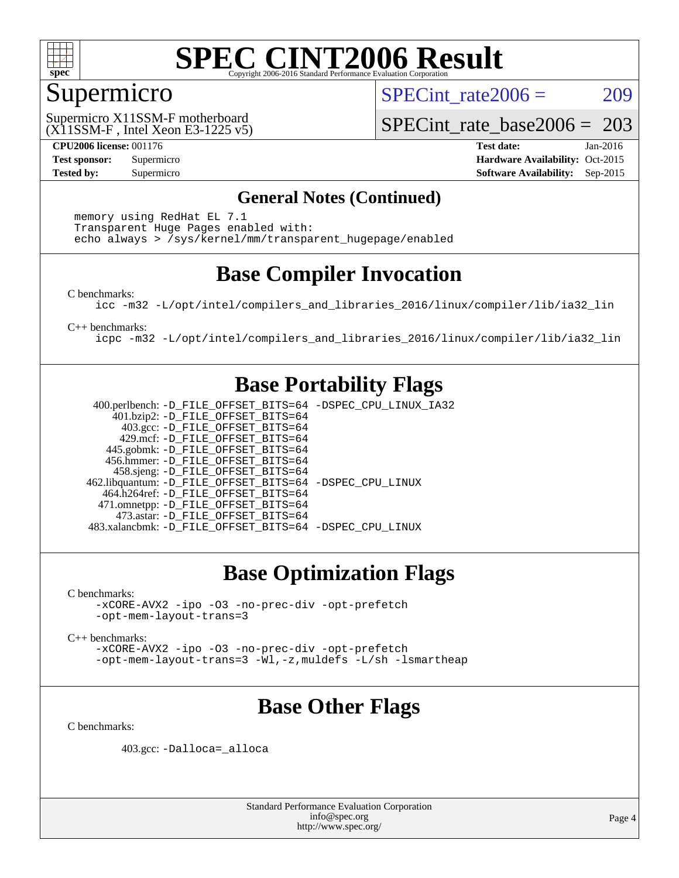

#### Supermicro

SPECint rate $2006 = 209$ 

(X11SSM-F , Intel Xeon E3-1225 v5) Supermicro X11SSM-F motherboard

[SPECint\\_rate\\_base2006 =](http://www.spec.org/auto/cpu2006/Docs/result-fields.html#SPECintratebase2006) 203

**[CPU2006 license:](http://www.spec.org/auto/cpu2006/Docs/result-fields.html#CPU2006license)** 001176 **[Test date:](http://www.spec.org/auto/cpu2006/Docs/result-fields.html#Testdate)** Jan-2016 **[Test sponsor:](http://www.spec.org/auto/cpu2006/Docs/result-fields.html#Testsponsor)** Supermicro Supermicro **[Hardware Availability:](http://www.spec.org/auto/cpu2006/Docs/result-fields.html#HardwareAvailability)** Oct-2015 **[Tested by:](http://www.spec.org/auto/cpu2006/Docs/result-fields.html#Testedby)** Supermicro **Supermicro [Software Availability:](http://www.spec.org/auto/cpu2006/Docs/result-fields.html#SoftwareAvailability)** Sep-2015

#### **[General Notes \(Continued\)](http://www.spec.org/auto/cpu2006/Docs/result-fields.html#GeneralNotes)**

 memory using RedHat EL 7.1 Transparent Huge Pages enabled with: echo always > /sys/kernel/mm/transparent\_hugepage/enabled

# **[Base Compiler Invocation](http://www.spec.org/auto/cpu2006/Docs/result-fields.html#BaseCompilerInvocation)**

[C benchmarks](http://www.spec.org/auto/cpu2006/Docs/result-fields.html#Cbenchmarks):

[icc -m32 -L/opt/intel/compilers\\_and\\_libraries\\_2016/linux/compiler/lib/ia32\\_lin](http://www.spec.org/cpu2006/results/res2016q1/cpu2006-20160107-38630.flags.html#user_CCbase_intel_icc_e10256ba5924b668798078a321b0cb3f)

[C++ benchmarks:](http://www.spec.org/auto/cpu2006/Docs/result-fields.html#CXXbenchmarks)

[icpc -m32 -L/opt/intel/compilers\\_and\\_libraries\\_2016/linux/compiler/lib/ia32\\_lin](http://www.spec.org/cpu2006/results/res2016q1/cpu2006-20160107-38630.flags.html#user_CXXbase_intel_icpc_b4f50a394bdb4597aa5879c16bc3f5c5)

### **[Base Portability Flags](http://www.spec.org/auto/cpu2006/Docs/result-fields.html#BasePortabilityFlags)**

 400.perlbench: [-D\\_FILE\\_OFFSET\\_BITS=64](http://www.spec.org/cpu2006/results/res2016q1/cpu2006-20160107-38630.flags.html#user_basePORTABILITY400_perlbench_file_offset_bits_64_438cf9856305ebd76870a2c6dc2689ab) [-DSPEC\\_CPU\\_LINUX\\_IA32](http://www.spec.org/cpu2006/results/res2016q1/cpu2006-20160107-38630.flags.html#b400.perlbench_baseCPORTABILITY_DSPEC_CPU_LINUX_IA32) 401.bzip2: [-D\\_FILE\\_OFFSET\\_BITS=64](http://www.spec.org/cpu2006/results/res2016q1/cpu2006-20160107-38630.flags.html#user_basePORTABILITY401_bzip2_file_offset_bits_64_438cf9856305ebd76870a2c6dc2689ab) 403.gcc: [-D\\_FILE\\_OFFSET\\_BITS=64](http://www.spec.org/cpu2006/results/res2016q1/cpu2006-20160107-38630.flags.html#user_basePORTABILITY403_gcc_file_offset_bits_64_438cf9856305ebd76870a2c6dc2689ab) 429.mcf: [-D\\_FILE\\_OFFSET\\_BITS=64](http://www.spec.org/cpu2006/results/res2016q1/cpu2006-20160107-38630.flags.html#user_basePORTABILITY429_mcf_file_offset_bits_64_438cf9856305ebd76870a2c6dc2689ab) 445.gobmk: [-D\\_FILE\\_OFFSET\\_BITS=64](http://www.spec.org/cpu2006/results/res2016q1/cpu2006-20160107-38630.flags.html#user_basePORTABILITY445_gobmk_file_offset_bits_64_438cf9856305ebd76870a2c6dc2689ab) 456.hmmer: [-D\\_FILE\\_OFFSET\\_BITS=64](http://www.spec.org/cpu2006/results/res2016q1/cpu2006-20160107-38630.flags.html#user_basePORTABILITY456_hmmer_file_offset_bits_64_438cf9856305ebd76870a2c6dc2689ab) 458.sjeng: [-D\\_FILE\\_OFFSET\\_BITS=64](http://www.spec.org/cpu2006/results/res2016q1/cpu2006-20160107-38630.flags.html#user_basePORTABILITY458_sjeng_file_offset_bits_64_438cf9856305ebd76870a2c6dc2689ab) 462.libquantum: [-D\\_FILE\\_OFFSET\\_BITS=64](http://www.spec.org/cpu2006/results/res2016q1/cpu2006-20160107-38630.flags.html#user_basePORTABILITY462_libquantum_file_offset_bits_64_438cf9856305ebd76870a2c6dc2689ab) [-DSPEC\\_CPU\\_LINUX](http://www.spec.org/cpu2006/results/res2016q1/cpu2006-20160107-38630.flags.html#b462.libquantum_baseCPORTABILITY_DSPEC_CPU_LINUX) 464.h264ref: [-D\\_FILE\\_OFFSET\\_BITS=64](http://www.spec.org/cpu2006/results/res2016q1/cpu2006-20160107-38630.flags.html#user_basePORTABILITY464_h264ref_file_offset_bits_64_438cf9856305ebd76870a2c6dc2689ab) 471.omnetpp: [-D\\_FILE\\_OFFSET\\_BITS=64](http://www.spec.org/cpu2006/results/res2016q1/cpu2006-20160107-38630.flags.html#user_basePORTABILITY471_omnetpp_file_offset_bits_64_438cf9856305ebd76870a2c6dc2689ab) 473.astar: [-D\\_FILE\\_OFFSET\\_BITS=64](http://www.spec.org/cpu2006/results/res2016q1/cpu2006-20160107-38630.flags.html#user_basePORTABILITY473_astar_file_offset_bits_64_438cf9856305ebd76870a2c6dc2689ab) 483.xalancbmk: [-D\\_FILE\\_OFFSET\\_BITS=64](http://www.spec.org/cpu2006/results/res2016q1/cpu2006-20160107-38630.flags.html#user_basePORTABILITY483_xalancbmk_file_offset_bits_64_438cf9856305ebd76870a2c6dc2689ab) [-DSPEC\\_CPU\\_LINUX](http://www.spec.org/cpu2006/results/res2016q1/cpu2006-20160107-38630.flags.html#b483.xalancbmk_baseCXXPORTABILITY_DSPEC_CPU_LINUX)

# **[Base Optimization Flags](http://www.spec.org/auto/cpu2006/Docs/result-fields.html#BaseOptimizationFlags)**

[C benchmarks](http://www.spec.org/auto/cpu2006/Docs/result-fields.html#Cbenchmarks):

[-xCORE-AVX2](http://www.spec.org/cpu2006/results/res2016q1/cpu2006-20160107-38630.flags.html#user_CCbase_f-xAVX2_5f5fc0cbe2c9f62c816d3e45806c70d7) [-ipo](http://www.spec.org/cpu2006/results/res2016q1/cpu2006-20160107-38630.flags.html#user_CCbase_f-ipo) [-O3](http://www.spec.org/cpu2006/results/res2016q1/cpu2006-20160107-38630.flags.html#user_CCbase_f-O3) [-no-prec-div](http://www.spec.org/cpu2006/results/res2016q1/cpu2006-20160107-38630.flags.html#user_CCbase_f-no-prec-div) [-opt-prefetch](http://www.spec.org/cpu2006/results/res2016q1/cpu2006-20160107-38630.flags.html#user_CCbase_f-opt-prefetch) [-opt-mem-layout-trans=3](http://www.spec.org/cpu2006/results/res2016q1/cpu2006-20160107-38630.flags.html#user_CCbase_f-opt-mem-layout-trans_a7b82ad4bd7abf52556d4961a2ae94d5)

[C++ benchmarks:](http://www.spec.org/auto/cpu2006/Docs/result-fields.html#CXXbenchmarks)

[-xCORE-AVX2](http://www.spec.org/cpu2006/results/res2016q1/cpu2006-20160107-38630.flags.html#user_CXXbase_f-xAVX2_5f5fc0cbe2c9f62c816d3e45806c70d7) [-ipo](http://www.spec.org/cpu2006/results/res2016q1/cpu2006-20160107-38630.flags.html#user_CXXbase_f-ipo) [-O3](http://www.spec.org/cpu2006/results/res2016q1/cpu2006-20160107-38630.flags.html#user_CXXbase_f-O3) [-no-prec-div](http://www.spec.org/cpu2006/results/res2016q1/cpu2006-20160107-38630.flags.html#user_CXXbase_f-no-prec-div) [-opt-prefetch](http://www.spec.org/cpu2006/results/res2016q1/cpu2006-20160107-38630.flags.html#user_CXXbase_f-opt-prefetch) [-opt-mem-layout-trans=3](http://www.spec.org/cpu2006/results/res2016q1/cpu2006-20160107-38630.flags.html#user_CXXbase_f-opt-mem-layout-trans_a7b82ad4bd7abf52556d4961a2ae94d5) [-Wl,-z,muldefs](http://www.spec.org/cpu2006/results/res2016q1/cpu2006-20160107-38630.flags.html#user_CXXbase_link_force_multiple1_74079c344b956b9658436fd1b6dd3a8a) [-L/sh -lsmartheap](http://www.spec.org/cpu2006/results/res2016q1/cpu2006-20160107-38630.flags.html#user_CXXbase_SmartHeap_32f6c82aa1ed9c52345d30cf6e4a0499)

# **[Base Other Flags](http://www.spec.org/auto/cpu2006/Docs/result-fields.html#BaseOtherFlags)**

[C benchmarks](http://www.spec.org/auto/cpu2006/Docs/result-fields.html#Cbenchmarks):

403.gcc: [-Dalloca=\\_alloca](http://www.spec.org/cpu2006/results/res2016q1/cpu2006-20160107-38630.flags.html#b403.gcc_baseEXTRA_CFLAGS_Dalloca_be3056838c12de2578596ca5467af7f3)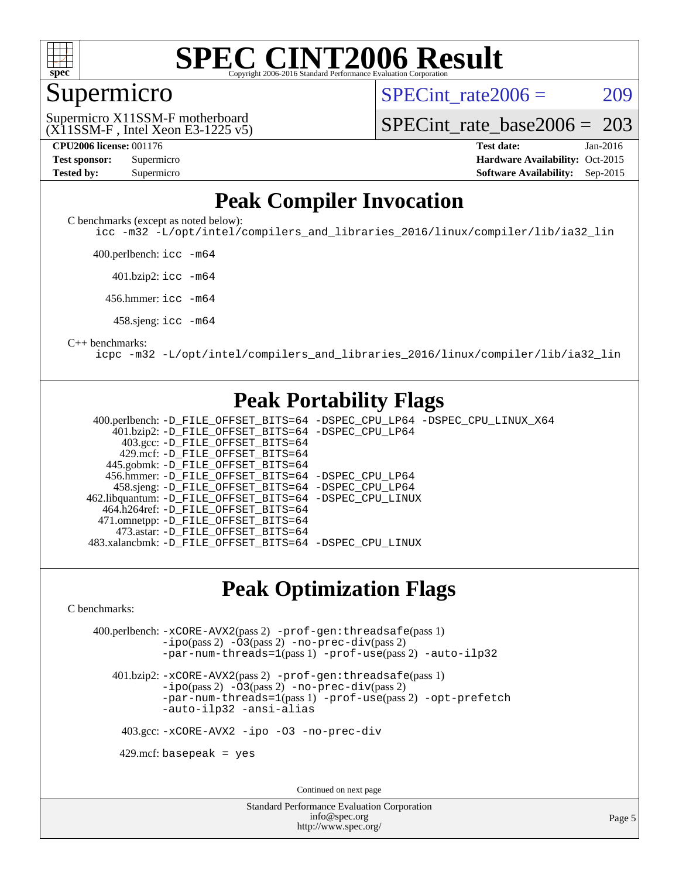

#### **[SPEC CINT2006 Result](http://www.spec.org/auto/cpu2006/Docs/result-fields.html#SPECCINT2006Result)** Copyright 2006-2016 Standard Performance Evaluation C

#### Supermicro

SPECint rate $2006 = 209$ 

(X11SSM-F , Intel Xeon E3-1225 v5) Supermicro X11SSM-F motherboard

[SPECint\\_rate\\_base2006 =](http://www.spec.org/auto/cpu2006/Docs/result-fields.html#SPECintratebase2006) 203

| <b>Test sponsor:</b> | Supermicro |  |  |  |
|----------------------|------------|--|--|--|
| <b>Tested by:</b>    | Supermicro |  |  |  |

**[CPU2006 license:](http://www.spec.org/auto/cpu2006/Docs/result-fields.html#CPU2006license)** 001176 **[Test date:](http://www.spec.org/auto/cpu2006/Docs/result-fields.html#Testdate)** Jan-2016 **[Hardware Availability:](http://www.spec.org/auto/cpu2006/Docs/result-fields.html#HardwareAvailability)** Oct-2015 **[Software Availability:](http://www.spec.org/auto/cpu2006/Docs/result-fields.html#SoftwareAvailability)** Sep-2015

### **[Peak Compiler Invocation](http://www.spec.org/auto/cpu2006/Docs/result-fields.html#PeakCompilerInvocation)**

[C benchmarks \(except as noted below\)](http://www.spec.org/auto/cpu2006/Docs/result-fields.html#Cbenchmarksexceptasnotedbelow):

[icc -m32 -L/opt/intel/compilers\\_and\\_libraries\\_2016/linux/compiler/lib/ia32\\_lin](http://www.spec.org/cpu2006/results/res2016q1/cpu2006-20160107-38630.flags.html#user_CCpeak_intel_icc_e10256ba5924b668798078a321b0cb3f)

400.perlbench: [icc -m64](http://www.spec.org/cpu2006/results/res2016q1/cpu2006-20160107-38630.flags.html#user_peakCCLD400_perlbench_intel_icc_64bit_bda6cc9af1fdbb0edc3795bac97ada53)

401.bzip2: [icc -m64](http://www.spec.org/cpu2006/results/res2016q1/cpu2006-20160107-38630.flags.html#user_peakCCLD401_bzip2_intel_icc_64bit_bda6cc9af1fdbb0edc3795bac97ada53)

456.hmmer: [icc -m64](http://www.spec.org/cpu2006/results/res2016q1/cpu2006-20160107-38630.flags.html#user_peakCCLD456_hmmer_intel_icc_64bit_bda6cc9af1fdbb0edc3795bac97ada53)

458.sjeng: [icc -m64](http://www.spec.org/cpu2006/results/res2016q1/cpu2006-20160107-38630.flags.html#user_peakCCLD458_sjeng_intel_icc_64bit_bda6cc9af1fdbb0edc3795bac97ada53)

#### [C++ benchmarks:](http://www.spec.org/auto/cpu2006/Docs/result-fields.html#CXXbenchmarks)

[icpc -m32 -L/opt/intel/compilers\\_and\\_libraries\\_2016/linux/compiler/lib/ia32\\_lin](http://www.spec.org/cpu2006/results/res2016q1/cpu2006-20160107-38630.flags.html#user_CXXpeak_intel_icpc_b4f50a394bdb4597aa5879c16bc3f5c5)

#### **[Peak Portability Flags](http://www.spec.org/auto/cpu2006/Docs/result-fields.html#PeakPortabilityFlags)**

 400.perlbench: [-D\\_FILE\\_OFFSET\\_BITS=64](http://www.spec.org/cpu2006/results/res2016q1/cpu2006-20160107-38630.flags.html#user_peakPORTABILITY400_perlbench_file_offset_bits_64_438cf9856305ebd76870a2c6dc2689ab) [-DSPEC\\_CPU\\_LP64](http://www.spec.org/cpu2006/results/res2016q1/cpu2006-20160107-38630.flags.html#b400.perlbench_peakCPORTABILITY_DSPEC_CPU_LP64) [-DSPEC\\_CPU\\_LINUX\\_X64](http://www.spec.org/cpu2006/results/res2016q1/cpu2006-20160107-38630.flags.html#b400.perlbench_peakCPORTABILITY_DSPEC_CPU_LINUX_X64) 401.bzip2: [-D\\_FILE\\_OFFSET\\_BITS=64](http://www.spec.org/cpu2006/results/res2016q1/cpu2006-20160107-38630.flags.html#user_peakPORTABILITY401_bzip2_file_offset_bits_64_438cf9856305ebd76870a2c6dc2689ab) [-DSPEC\\_CPU\\_LP64](http://www.spec.org/cpu2006/results/res2016q1/cpu2006-20160107-38630.flags.html#suite_peakCPORTABILITY401_bzip2_DSPEC_CPU_LP64) 403.gcc: [-D\\_FILE\\_OFFSET\\_BITS=64](http://www.spec.org/cpu2006/results/res2016q1/cpu2006-20160107-38630.flags.html#user_peakPORTABILITY403_gcc_file_offset_bits_64_438cf9856305ebd76870a2c6dc2689ab) 429.mcf: [-D\\_FILE\\_OFFSET\\_BITS=64](http://www.spec.org/cpu2006/results/res2016q1/cpu2006-20160107-38630.flags.html#user_peakPORTABILITY429_mcf_file_offset_bits_64_438cf9856305ebd76870a2c6dc2689ab) 445.gobmk: [-D\\_FILE\\_OFFSET\\_BITS=64](http://www.spec.org/cpu2006/results/res2016q1/cpu2006-20160107-38630.flags.html#user_peakPORTABILITY445_gobmk_file_offset_bits_64_438cf9856305ebd76870a2c6dc2689ab) 456.hmmer: [-D\\_FILE\\_OFFSET\\_BITS=64](http://www.spec.org/cpu2006/results/res2016q1/cpu2006-20160107-38630.flags.html#user_peakPORTABILITY456_hmmer_file_offset_bits_64_438cf9856305ebd76870a2c6dc2689ab) [-DSPEC\\_CPU\\_LP64](http://www.spec.org/cpu2006/results/res2016q1/cpu2006-20160107-38630.flags.html#suite_peakCPORTABILITY456_hmmer_DSPEC_CPU_LP64) 458.sjeng: [-D\\_FILE\\_OFFSET\\_BITS=64](http://www.spec.org/cpu2006/results/res2016q1/cpu2006-20160107-38630.flags.html#user_peakPORTABILITY458_sjeng_file_offset_bits_64_438cf9856305ebd76870a2c6dc2689ab) [-DSPEC\\_CPU\\_LP64](http://www.spec.org/cpu2006/results/res2016q1/cpu2006-20160107-38630.flags.html#suite_peakCPORTABILITY458_sjeng_DSPEC_CPU_LP64) 462.libquantum: [-D\\_FILE\\_OFFSET\\_BITS=64](http://www.spec.org/cpu2006/results/res2016q1/cpu2006-20160107-38630.flags.html#user_peakPORTABILITY462_libquantum_file_offset_bits_64_438cf9856305ebd76870a2c6dc2689ab) [-DSPEC\\_CPU\\_LINUX](http://www.spec.org/cpu2006/results/res2016q1/cpu2006-20160107-38630.flags.html#b462.libquantum_peakCPORTABILITY_DSPEC_CPU_LINUX) 464.h264ref: [-D\\_FILE\\_OFFSET\\_BITS=64](http://www.spec.org/cpu2006/results/res2016q1/cpu2006-20160107-38630.flags.html#user_peakPORTABILITY464_h264ref_file_offset_bits_64_438cf9856305ebd76870a2c6dc2689ab) 471.omnetpp: [-D\\_FILE\\_OFFSET\\_BITS=64](http://www.spec.org/cpu2006/results/res2016q1/cpu2006-20160107-38630.flags.html#user_peakPORTABILITY471_omnetpp_file_offset_bits_64_438cf9856305ebd76870a2c6dc2689ab) 473.astar: [-D\\_FILE\\_OFFSET\\_BITS=64](http://www.spec.org/cpu2006/results/res2016q1/cpu2006-20160107-38630.flags.html#user_peakPORTABILITY473_astar_file_offset_bits_64_438cf9856305ebd76870a2c6dc2689ab) 483.xalancbmk: [-D\\_FILE\\_OFFSET\\_BITS=64](http://www.spec.org/cpu2006/results/res2016q1/cpu2006-20160107-38630.flags.html#user_peakPORTABILITY483_xalancbmk_file_offset_bits_64_438cf9856305ebd76870a2c6dc2689ab) [-DSPEC\\_CPU\\_LINUX](http://www.spec.org/cpu2006/results/res2016q1/cpu2006-20160107-38630.flags.html#b483.xalancbmk_peakCXXPORTABILITY_DSPEC_CPU_LINUX)

#### **[Peak Optimization Flags](http://www.spec.org/auto/cpu2006/Docs/result-fields.html#PeakOptimizationFlags)**

[C benchmarks](http://www.spec.org/auto/cpu2006/Docs/result-fields.html#Cbenchmarks):

 400.perlbench: [-xCORE-AVX2](http://www.spec.org/cpu2006/results/res2016q1/cpu2006-20160107-38630.flags.html#user_peakPASS2_CFLAGSPASS2_LDCFLAGS400_perlbench_f-xAVX2_5f5fc0cbe2c9f62c816d3e45806c70d7)(pass 2) [-prof-gen:threadsafe](http://www.spec.org/cpu2006/results/res2016q1/cpu2006-20160107-38630.flags.html#user_peakPASS1_CFLAGSPASS1_LDCFLAGS400_perlbench_prof_gen_21a26eb79f378b550acd7bec9fe4467a)(pass 1) [-ipo](http://www.spec.org/cpu2006/results/res2016q1/cpu2006-20160107-38630.flags.html#user_peakPASS2_CFLAGSPASS2_LDCFLAGS400_perlbench_f-ipo)(pass 2) [-O3](http://www.spec.org/cpu2006/results/res2016q1/cpu2006-20160107-38630.flags.html#user_peakPASS2_CFLAGSPASS2_LDCFLAGS400_perlbench_f-O3)(pass 2) [-no-prec-div](http://www.spec.org/cpu2006/results/res2016q1/cpu2006-20160107-38630.flags.html#user_peakPASS2_CFLAGSPASS2_LDCFLAGS400_perlbench_f-no-prec-div)(pass 2) [-par-num-threads=1](http://www.spec.org/cpu2006/results/res2016q1/cpu2006-20160107-38630.flags.html#user_peakPASS1_CFLAGSPASS1_LDCFLAGS400_perlbench_par_num_threads_786a6ff141b4e9e90432e998842df6c2)(pass 1) [-prof-use](http://www.spec.org/cpu2006/results/res2016q1/cpu2006-20160107-38630.flags.html#user_peakPASS2_CFLAGSPASS2_LDCFLAGS400_perlbench_prof_use_bccf7792157ff70d64e32fe3e1250b55)(pass 2) [-auto-ilp32](http://www.spec.org/cpu2006/results/res2016q1/cpu2006-20160107-38630.flags.html#user_peakCOPTIMIZE400_perlbench_f-auto-ilp32)

 401.bzip2: [-xCORE-AVX2](http://www.spec.org/cpu2006/results/res2016q1/cpu2006-20160107-38630.flags.html#user_peakPASS2_CFLAGSPASS2_LDCFLAGS401_bzip2_f-xAVX2_5f5fc0cbe2c9f62c816d3e45806c70d7)(pass 2) [-prof-gen:threadsafe](http://www.spec.org/cpu2006/results/res2016q1/cpu2006-20160107-38630.flags.html#user_peakPASS1_CFLAGSPASS1_LDCFLAGS401_bzip2_prof_gen_21a26eb79f378b550acd7bec9fe4467a)(pass 1)  $-i\text{po}(pass 2)$  [-O3](http://www.spec.org/cpu2006/results/res2016q1/cpu2006-20160107-38630.flags.html#user_peakPASS2_CFLAGSPASS2_LDCFLAGS401_bzip2_f-O3) $(pass 2)$  [-no-prec-div](http://www.spec.org/cpu2006/results/res2016q1/cpu2006-20160107-38630.flags.html#user_peakPASS2_CFLAGSPASS2_LDCFLAGS401_bzip2_f-no-prec-div) $(pass 2)$ [-par-num-threads=1](http://www.spec.org/cpu2006/results/res2016q1/cpu2006-20160107-38630.flags.html#user_peakPASS1_CFLAGSPASS1_LDCFLAGS401_bzip2_par_num_threads_786a6ff141b4e9e90432e998842df6c2)(pass 1) [-prof-use](http://www.spec.org/cpu2006/results/res2016q1/cpu2006-20160107-38630.flags.html#user_peakPASS2_CFLAGSPASS2_LDCFLAGS401_bzip2_prof_use_bccf7792157ff70d64e32fe3e1250b55)(pass 2) [-opt-prefetch](http://www.spec.org/cpu2006/results/res2016q1/cpu2006-20160107-38630.flags.html#user_peakCOPTIMIZE401_bzip2_f-opt-prefetch) [-auto-ilp32](http://www.spec.org/cpu2006/results/res2016q1/cpu2006-20160107-38630.flags.html#user_peakCOPTIMIZE401_bzip2_f-auto-ilp32) [-ansi-alias](http://www.spec.org/cpu2006/results/res2016q1/cpu2006-20160107-38630.flags.html#user_peakCOPTIMIZE401_bzip2_f-ansi-alias)

403.gcc: [-xCORE-AVX2](http://www.spec.org/cpu2006/results/res2016q1/cpu2006-20160107-38630.flags.html#user_peakCOPTIMIZE403_gcc_f-xAVX2_5f5fc0cbe2c9f62c816d3e45806c70d7) [-ipo](http://www.spec.org/cpu2006/results/res2016q1/cpu2006-20160107-38630.flags.html#user_peakCOPTIMIZE403_gcc_f-ipo) [-O3](http://www.spec.org/cpu2006/results/res2016q1/cpu2006-20160107-38630.flags.html#user_peakCOPTIMIZE403_gcc_f-O3) [-no-prec-div](http://www.spec.org/cpu2006/results/res2016q1/cpu2006-20160107-38630.flags.html#user_peakCOPTIMIZE403_gcc_f-no-prec-div)

 $429$ .mcf: basepeak = yes

Continued on next page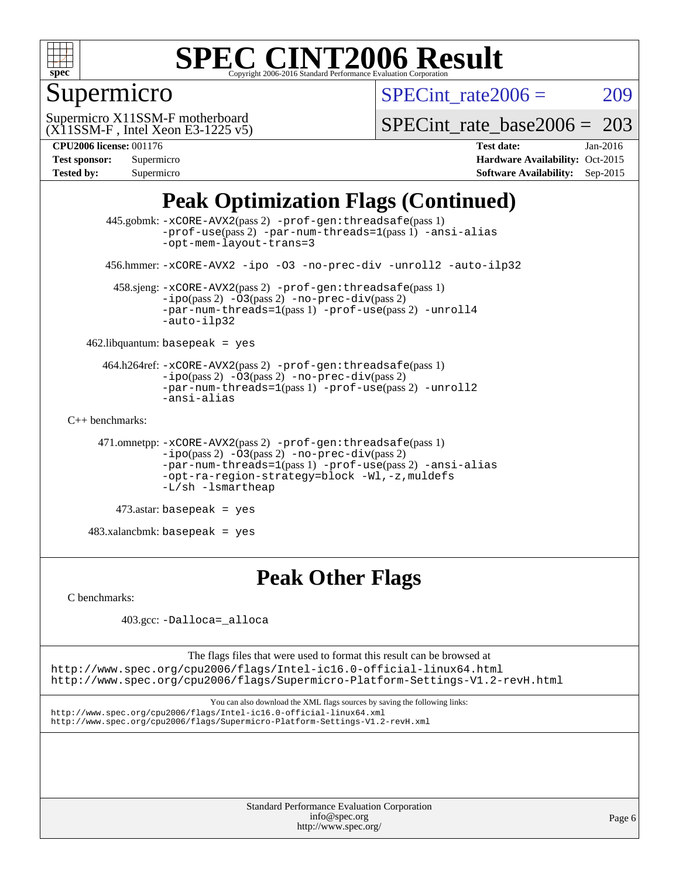

# Supermicro

SPECint rate $2006 = 209$ 

(X11SSM-F , Intel Xeon E3-1225 v5) Supermicro X11SSM-F motherboard

SPECint rate base  $2006 = 203$ 

#### **[CPU2006 license:](http://www.spec.org/auto/cpu2006/Docs/result-fields.html#CPU2006license)** 001176 **[Test date:](http://www.spec.org/auto/cpu2006/Docs/result-fields.html#Testdate)** Jan-2016

| <b>Test sponsor:</b> | Supermicro |
|----------------------|------------|
| <b>Tested by:</b>    | Supermicro |

**[Hardware Availability:](http://www.spec.org/auto/cpu2006/Docs/result-fields.html#HardwareAvailability)** Oct-2015 **[Software Availability:](http://www.spec.org/auto/cpu2006/Docs/result-fields.html#SoftwareAvailability)** Sep-2015

# **[Peak Optimization Flags \(Continued\)](http://www.spec.org/auto/cpu2006/Docs/result-fields.html#PeakOptimizationFlags)**

```
 445.gobmk: -xCORE-AVX2(pass 2) -prof-gen:threadsafe(pass 1)
                -prof-use(pass 2) -par-num-threads=1(pass 1) -ansi-alias
                -opt-mem-layout-trans=3
       456.hmmer: -xCORE-AVX2 -ipo -O3 -no-prec-div -unroll2 -auto-ilp32
        458.sjeng: -xCORE-AVX2(pass 2) -prof-gen:threadsafe(pass 1)
                -i\text{po}(pass 2) -\overline{O}3(pass 2)-no-prec-div(pass 2)
                -par-num-threads=1-prof-use-unroll4
                -auto-ilp32
    462.libquantum: basepeak = yes
      464.h264ref: -xCORE-AVX2(pass 2) -prof-gen:threadsafe(pass 1)
                -ipo(pass 2) -O3(pass 2) -no-prec-div(pass 2)
               -par-num-threads=1(pass 1) -prof-use(pass 2) -unroll2
                -ansi-alias
C++ benchmarks: 
      471.omnetpp: -xCORE-AVX2(pass 2) -prof-gen:threadsafe(pass 1)
               -no-prec-div(pass 2)-par-num-threads=1(pass 1) -prof-use(pass 2) -ansi-alias
                -opt-ra-region-strategy=block -Wl,-z,muldefs
                -L/sh -lsmartheap
        473.astar: basepeak = yes
    483.xalancbmk: basepeak = yes
```
### **[Peak Other Flags](http://www.spec.org/auto/cpu2006/Docs/result-fields.html#PeakOtherFlags)**

[C benchmarks](http://www.spec.org/auto/cpu2006/Docs/result-fields.html#Cbenchmarks):

403.gcc: [-Dalloca=\\_alloca](http://www.spec.org/cpu2006/results/res2016q1/cpu2006-20160107-38630.flags.html#b403.gcc_peakEXTRA_CFLAGS_Dalloca_be3056838c12de2578596ca5467af7f3)

The flags files that were used to format this result can be browsed at <http://www.spec.org/cpu2006/flags/Intel-ic16.0-official-linux64.html> <http://www.spec.org/cpu2006/flags/Supermicro-Platform-Settings-V1.2-revH.html>

You can also download the XML flags sources by saving the following links: <http://www.spec.org/cpu2006/flags/Intel-ic16.0-official-linux64.xml> <http://www.spec.org/cpu2006/flags/Supermicro-Platform-Settings-V1.2-revH.xml>